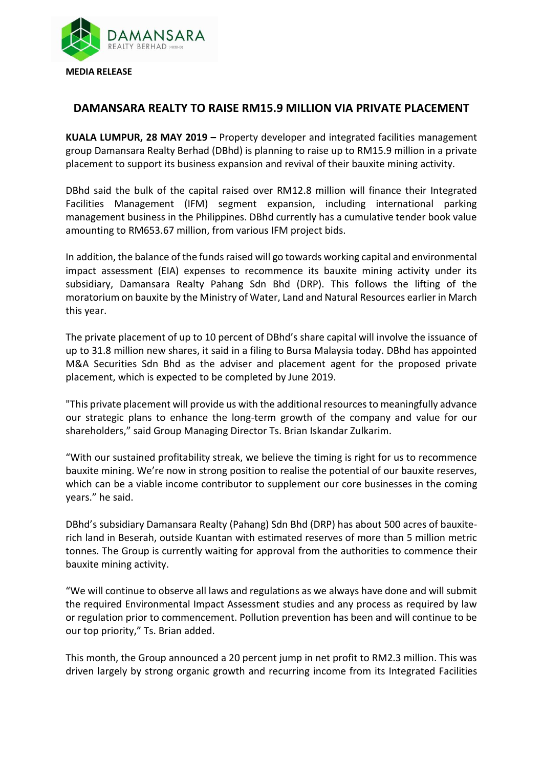

## **DAMANSARA REALTY TO RAISE RM15.9 MILLION VIA PRIVATE PLACEMENT**

**KUALA LUMPUR, 28 MAY 2019 –** Property developer and integrated facilities management group Damansara Realty Berhad (DBhd) is planning to raise up to RM15.9 million in a private placement to support its business expansion and revival of their bauxite mining activity.

DBhd said the bulk of the capital raised over RM12.8 million will finance their Integrated Facilities Management (IFM) segment expansion, including international parking management business in the Philippines. DBhd currently has a cumulative tender book value amounting to RM653.67 million, from various IFM project bids.

In addition, the balance of the funds raised will go towards working capital and environmental impact assessment (EIA) expenses to recommence its bauxite mining activity under its subsidiary, Damansara Realty Pahang Sdn Bhd (DRP). This follows the lifting of the moratorium on bauxite by the Ministry of Water, Land and Natural Resources earlier in March this year.

The private placement of up to 10 percent of DBhd's share capital will involve the issuance of up to 31.8 million new shares, it said in a filing to Bursa Malaysia today. DBhd has appointed M&A Securities Sdn Bhd as the adviser and placement agent for the proposed private placement, which is expected to be completed by June 2019.

"This private placement will provide us with the additional resources to meaningfully advance our strategic plans to enhance the long-term growth of the company and value for our shareholders," said Group Managing Director Ts. Brian Iskandar Zulkarim.

"With our sustained profitability streak, we believe the timing is right for us to recommence bauxite mining. We're now in strong position to realise the potential of our bauxite reserves, which can be a viable income contributor to supplement our core businesses in the coming years." he said.

DBhd's subsidiary Damansara Realty (Pahang) Sdn Bhd (DRP) has about 500 acres of bauxiterich land in Beserah, outside Kuantan with estimated reserves of more than 5 million metric tonnes. The Group is currently waiting for approval from the authorities to commence their bauxite mining activity.

"We will continue to observe all laws and regulations as we always have done and will submit the required Environmental Impact Assessment studies and any process as required by law or regulation prior to commencement. Pollution prevention has been and will continue to be our top priority," Ts. Brian added.

This month, the Group announced a 20 percent jump in net profit to RM2.3 million. This was driven largely by strong organic growth and recurring income from its Integrated Facilities